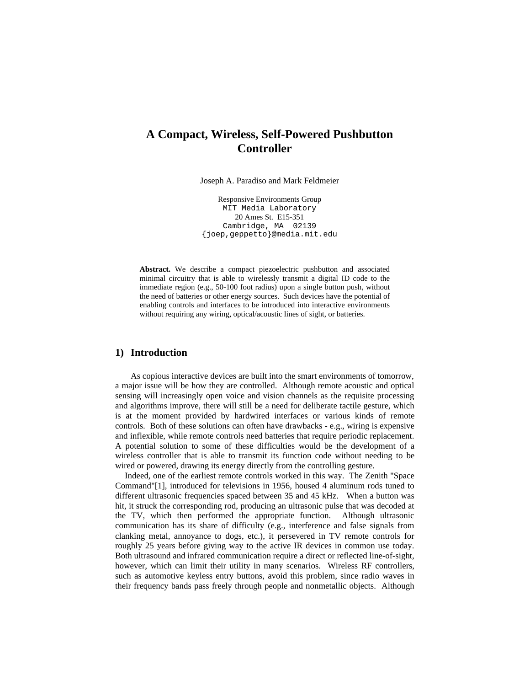# **A Compact, Wireless, Self-Powered Pushbutton Controller**

Joseph A. Paradiso and Mark Feldmeier

Responsive Environments Group MIT Media Laboratory 20 Ames St. E15-351 Cambridge, MA 02139 {joep,geppetto}@media.mit.edu

**Abstract.** We describe a compact piezoelectric pushbutton and associated minimal circuitry that is able to wirelessly transmit a digital ID code to the immediate region (e.g., 50-100 foot radius) upon a single button push, without the need of batteries or other energy sources. Such devices have the potential of enabling controls and interfaces to be introduced into interactive environments without requiring any wiring, optical/acoustic lines of sight, or batteries.

## **1) Introduction**

As copious interactive devices are built into the smart environments of tomorrow, a major issue will be how they are controlled. Although remote acoustic and optical sensing will increasingly open voice and vision channels as the requisite processing and algorithms improve, there will still be a need for deliberate tactile gesture, which is at the moment provided by hardwired interfaces or various kinds of remote controls. Both of these solutions can often have drawbacks - e.g., wiring is expensive and inflexible, while remote controls need batteries that require periodic replacement. A potential solution to some of these difficulties would be the development of a wireless controller that is able to transmit its function code without needing to be wired or powered, drawing its energy directly from the controlling gesture.

Indeed, one of the earliest remote controls worked in this way. The Zenith "Space Command"[1], introduced for televisions in 1956, housed 4 aluminum rods tuned to different ultrasonic frequencies spaced between 35 and 45 kHz. When a button was hit, it struck the corresponding rod, producing an ultrasonic pulse that was decoded at the TV, which then performed the appropriate function. Although ultrasonic communication has its share of difficulty (e.g., interference and false signals from clanking metal, annoyance to dogs, etc.), it persevered in TV remote controls for roughly 25 years before giving way to the active IR devices in common use today. Both ultrasound and infrared communication require a direct or reflected line-of-sight, however, which can limit their utility in many scenarios. Wireless RF controllers, such as automotive keyless entry buttons, avoid this problem, since radio waves in their frequency bands pass freely through people and nonmetallic objects. Although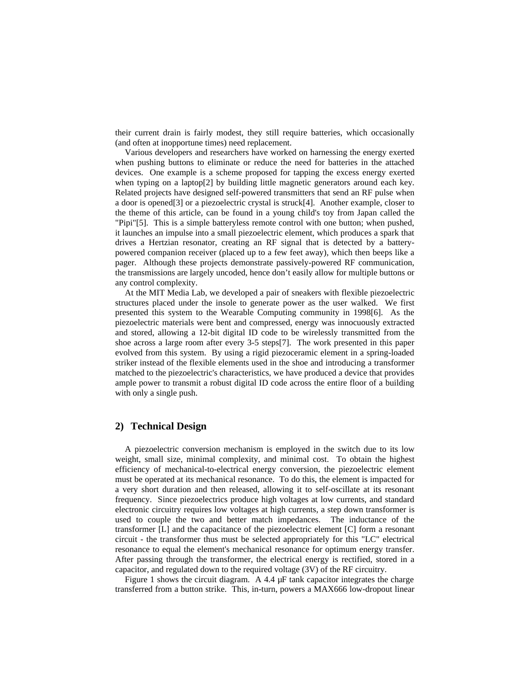their current drain is fairly modest, they still require batteries, which occasionally (and often at inopportune times) need replacement.

Various developers and researchers have worked on harnessing the energy exerted when pushing buttons to eliminate or reduce the need for batteries in the attached devices. One example is a scheme proposed for tapping the excess energy exerted when typing on a laptop[2] by building little magnetic generators around each key. Related projects have designed self-powered transmitters that send an RF pulse when a door is opened[3] or a piezoelectric crystal is struck[4]. Another example, closer to the theme of this article, can be found in a young child's toy from Japan called the "Pipi"[5]. This is a simple batteryless remote control with one button; when pushed, it launches an impulse into a small piezoelectric element, which produces a spark that drives a Hertzian resonator, creating an RF signal that is detected by a batterypowered companion receiver (placed up to a few feet away), which then beeps like a pager. Although these projects demonstrate passively-powered RF communication, the transmissions are largely uncoded, hence don't easily allow for multiple buttons or any control complexity.

At the MIT Media Lab, we developed a pair of sneakers with flexible piezoelectric structures placed under the insole to generate power as the user walked. We first presented this system to the Wearable Computing community in 1998[6]. As the piezoelectric materials were bent and compressed, energy was innocuously extracted and stored, allowing a 12-bit digital ID code to be wirelessly transmitted from the shoe across a large room after every 3-5 steps[7]. The work presented in this paper evolved from this system. By using a rigid piezoceramic element in a spring-loaded striker instead of the flexible elements used in the shoe and introducing a transformer matched to the piezoelectric's characteristics, we have produced a device that provides ample power to transmit a robust digital ID code across the entire floor of a building with only a single push.

#### **2) Technical Design**

A piezoelectric conversion mechanism is employed in the switch due to its low weight, small size, minimal complexity, and minimal cost. To obtain the highest efficiency of mechanical-to-electrical energy conversion, the piezoelectric element must be operated at its mechanical resonance. To do this, the element is impacted for a very short duration and then released, allowing it to self-oscillate at its resonant frequency. Since piezoelectrics produce high voltages at low currents, and standard electronic circuitry requires low voltages at high currents, a step down transformer is used to couple the two and better match impedances. The inductance of the transformer [L] and the capacitance of the piezoelectric element [C] form a resonant circuit - the transformer thus must be selected appropriately for this "LC" electrical resonance to equal the element's mechanical resonance for optimum energy transfer. After passing through the transformer, the electrical energy is rectified, stored in a capacitor, and regulated down to the required voltage (3V) of the RF circuitry.

Figure 1 shows the circuit diagram. A 4.4  $\mu$ F tank capacitor integrates the charge transferred from a button strike. This, in-turn, powers a MAX666 low-dropout linear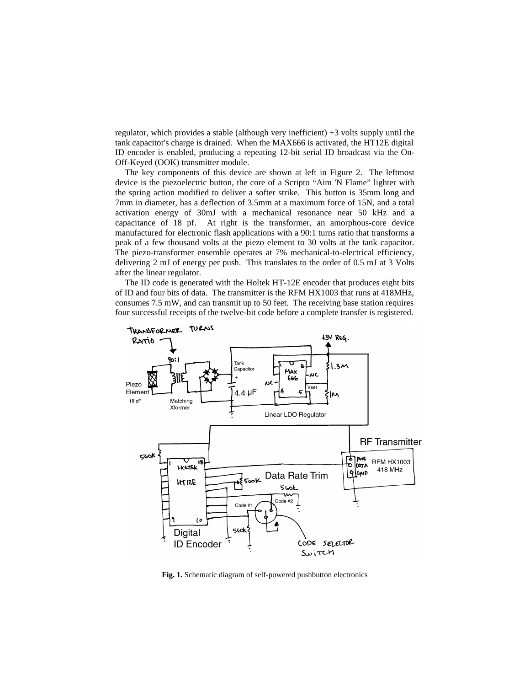regulator, which provides a stable (although very inefficient)  $+3$  volts supply until the tank capacitor's charge is drained. When the MAX666 is activated, the HT12E digital ID encoder is enabled, producing a repeating 12-bit serial ID broadcast via the On-Off-Keyed (OOK) transmitter module.

The key components of this device are shown at left in Figure 2. The leftmost device is the piezoelectric button, the core of a Scripto "Aim 'N Flame" lighter with the spring action modified to deliver a softer strike. This button is 35mm long and 7mm in diameter, has a deflection of 3.5mm at a maximum force of 15N, and a total activation energy of 30mJ with a mechanical resonance near 50 kHz and a capacitance of 18 pf. At right is the transformer, an amorphous-core device manufactured for electronic flash applications with a 90:1 turns ratio that transforms a peak of a few thousand volts at the piezo element to 30 volts at the tank capacitor. The piezo-transformer ensemble operates at 7% mechanical-to-electrical efficiency, delivering 2 mJ of energy per push. This translates to the order of 0.5 mJ at 3 Volts after the linear regulator.

The ID code is generated with the Holtek HT-12E encoder that produces eight bits of ID and four bits of data. The transmitter is the RFM HX1003 that runs at 418MHz, consumes 7.5 mW, and can transmit up to 50 feet. The receiving base station requires four successful receipts of the twelve-bit code before a complete transfer is registered.



**Fig. 1.** Schematic diagram of self-powered pushbutton electronics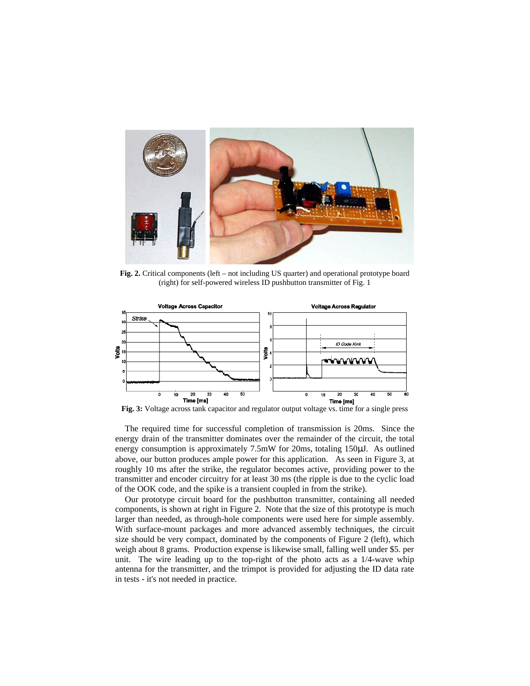

**Fig. 2.** Critical components (left – not including US quarter) and operational prototype board (right) for self-powered wireless ID pushbutton transmitter of Fig. 1





The required time for successful completion of transmission is 20ms. Since the energy drain of the transmitter dominates over the remainder of the circuit, the total energy consumption is approximately 7.5mW for 20ms, totaling 150μJ. As outlined above, our button produces ample power for this application. As seen in Figure 3, at roughly 10 ms after the strike, the regulator becomes active, providing power to the transmitter and encoder circuitry for at least 30 ms (the ripple is due to the cyclic load of the OOK code, and the spike is a transient coupled in from the strike).

Our prototype circuit board for the pushbutton transmitter, containing all needed components, is shown at right in Figure 2. Note that the size of this prototype is much larger than needed, as through-hole components were used here for simple assembly. With surface-mount packages and more advanced assembly techniques, the circuit size should be very compact, dominated by the components of Figure 2 (left), which weigh about 8 grams. Production expense is likewise small, falling well under \$5. per unit. The wire leading up to the top-right of the photo acts as a 1/4-wave whip antenna for the transmitter, and the trimpot is provided for adjusting the ID data rate in tests - it's not needed in practice.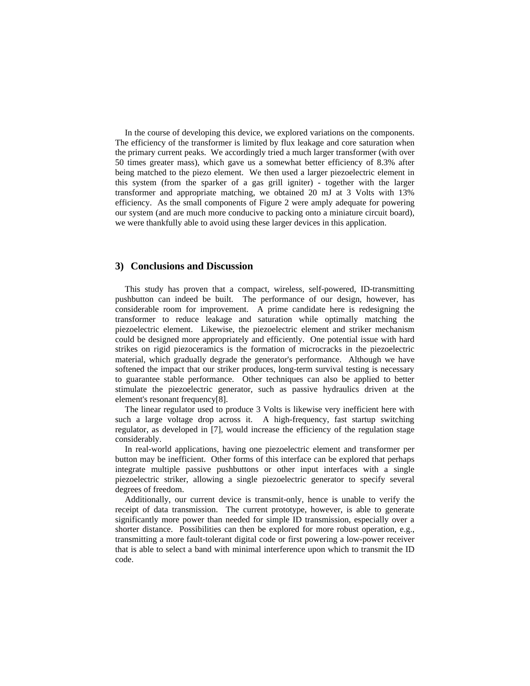In the course of developing this device, we explored variations on the components. The efficiency of the transformer is limited by flux leakage and core saturation when the primary current peaks. We accordingly tried a much larger transformer (with over 50 times greater mass), which gave us a somewhat better efficiency of 8.3% after being matched to the piezo element. We then used a larger piezoelectric element in this system (from the sparker of a gas grill igniter) - together with the larger transformer and appropriate matching, we obtained 20 mJ at 3 Volts with 13% efficiency. As the small components of Figure 2 were amply adequate for powering our system (and are much more conducive to packing onto a miniature circuit board), we were thankfully able to avoid using these larger devices in this application.

## **3) Conclusions and Discussion**

This study has proven that a compact, wireless, self-powered, ID-transmitting pushbutton can indeed be built. The performance of our design, however, has considerable room for improvement. A prime candidate here is redesigning the transformer to reduce leakage and saturation while optimally matching the piezoelectric element. Likewise, the piezoelectric element and striker mechanism could be designed more appropriately and efficiently. One potential issue with hard strikes on rigid piezoceramics is the formation of microcracks in the piezoelectric material, which gradually degrade the generator's performance. Although we have softened the impact that our striker produces, long-term survival testing is necessary to guarantee stable performance. Other techniques can also be applied to better stimulate the piezoelectric generator, such as passive hydraulics driven at the element's resonant frequency[8].

The linear regulator used to produce 3 Volts is likewise very inefficient here with such a large voltage drop across it. A high-frequency, fast startup switching regulator, as developed in [7], would increase the efficiency of the regulation stage considerably.

In real-world applications, having one piezoelectric element and transformer per button may be inefficient. Other forms of this interface can be explored that perhaps integrate multiple passive pushbuttons or other input interfaces with a single piezoelectric striker, allowing a single piezoelectric generator to specify several degrees of freedom.

Additionally, our current device is transmit-only, hence is unable to verify the receipt of data transmission. The current prototype, however, is able to generate significantly more power than needed for simple ID transmission, especially over a shorter distance. Possibilities can then be explored for more robust operation, e.g., transmitting a more fault-tolerant digital code or first powering a low-power receiver that is able to select a band with minimal interference upon which to transmit the ID code.